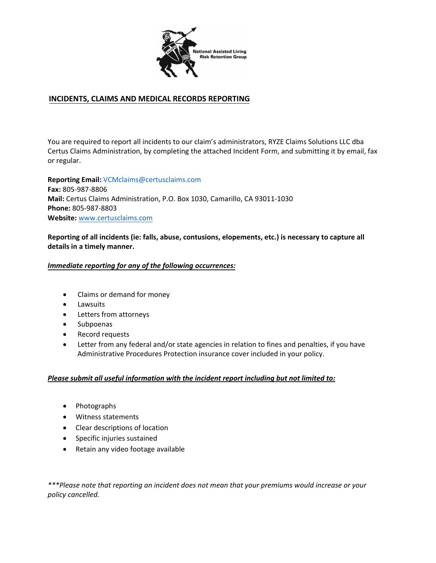

## **INCIDENTS, CLAIMS AND MEDICAL RECORDS REPORTING**

You are required to report all incidents to our claim's administrators, RYZE Claims Solutions LLC dba Certus Claims Administration, by completing the attached Incident Form, and submitting it by email, fax or regular.

**Reporting Email:** VCMclaims@certusclaims.com **Fax:** 805‐987‐8806 **Mail:** Certus Claims Administration, P.O. Box 1030, Camarillo, CA 93011‐1030 **Phone:** 805‐987‐8803 **Website:** www.certusclaims.com

**Reporting of all incidents (ie: falls, abuse, contusions, elopements, etc.) is necessary to capture all details in a timely manner.**

### *Immediate reporting for any of the following occurrences:*

- Claims or demand for money
- Lawsuits
- Letters from attorneys
- Subpoenas
- Record requests
- Letter from any federal and/or state agencies in relation to fines and penalties, if you have Administrative Procedures Protection insurance cover included in your policy.

#### *Please submit all useful information with the incident report including but not limited to:*

- Photographs
- Witness statements
- Clear descriptions of location
- Specific injuries sustained
- Retain any video footage available

*\*\*\*Please note that reporting an incident does not mean that your premiums would increase or your policy cancelled.*